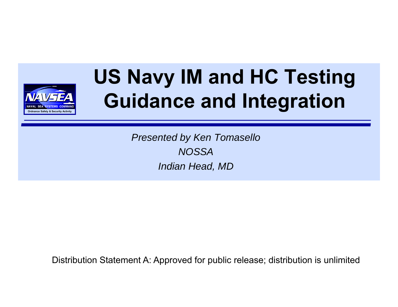

### **US Navy IM and HC Testing Guidance and Integration**

*Presented by Ken Tomasello NOSSA Indian Head, MD*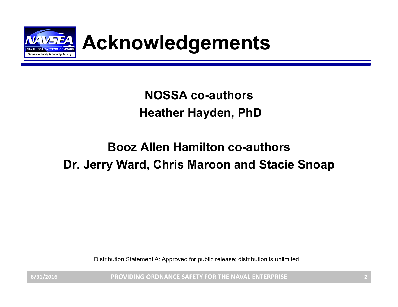

### Acknowledgements

**NOSSA co-authorsHeather Hayden, PhD**

#### **Booz Allen Hamilton co-authors Dr. Jerry Ward, Chris Maroon and Stacie Snoap**

Distribution Statement A: Approved for public release; distribution is unlimited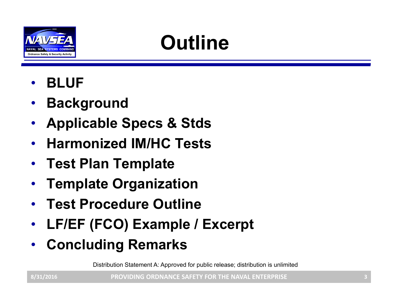

## **Outline**

- •**BLUF**
- •**Background**
- $\bullet$ **Applicable Specs & Stds**
- •**Harmonized IM/HC Tests**
- •**Test Plan Template**
- •**Template Organization**
- •**Test Procedure Outline**
- $\bullet$ **LF/EF (FCO) Example / Excerpt**
- $\bullet$ **Concluding Remarks**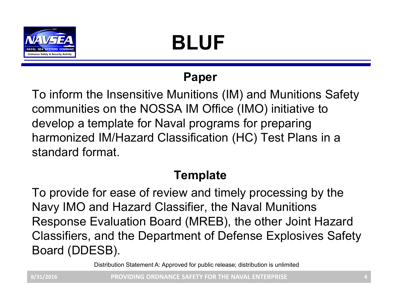

## **BLUF**

#### **Paper**

To inform the Insensitive Munitions (IM) and Munitions Safety communities on the NOSSA IM Office (IMO) initiative to develop a template for Naval programs for preparing harmonized IM/Hazard Classification (HC) Test Plans in a standard format.

#### **Template**

To provide for ease of review and timely processing by the Navy IMO and Hazard Classifier, the Naval Munitions Response Evaluation Board (MREB), the other Joint Hazard Classifiers, and the Department of Defense Explosives Safety Board (DDESB).

Distribution Statement A: Approved for public release; distribution is unlimited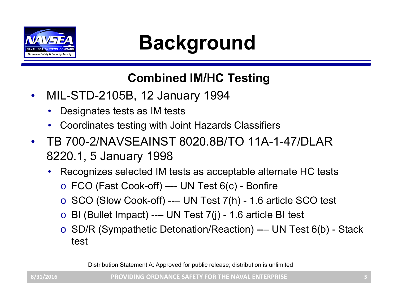

### **PANT PANT BACKGround CONDUT CONDUCT**

#### **Combined IM/HC Testing**

- • MIL-STD-2105B, 12 January 1994
	- •Designates tests as IM tests
	- Coordinates testing with Joint Hazards Classifiers
- $\bullet$  TB 700-2/NAVSEAINST 8020.8B/TO 11A-1-47/DLAR 8220.1, 5 January 1998
	- • Recognizes selected IM tests as acceptable alternate HC tests
		- o FCO (Fast Cook-off) –-- UN Test 6(c) Bonfire
		- $\circ$  SCO (Slow Cook-off) --- UN Test 7(h) 1.6 article SCO test
		- $\,\circ\,$  BI (Bullet Impact) --– UN Test 7(j) 1.6 article BI test
		- o SD/R (Sympathetic Detonation/Reaction) --– UN Test 6(b) Stack test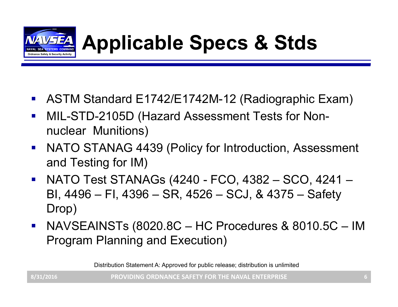

- $\mathcal{L}_{\text{max}}$ ASTM Standard E1742/E1742M-12 (Radiographic Exam)
- $\mathcal{L}_{\text{max}}$  MIL-STD-2105D (Hazard Assessment Tests for Nonnuclear Munitions)
- $\mathcal{L}_{\text{max}}$  NATO STANAG 4439 (Policy for Introduction, Assessment and Testing for IM)
- $\mathcal{L}_{\text{max}}$  NATO Test STANAGs (4240 - FCO, 4382 – SCO, 4241 – BI, 4496 – FI, 4396 – SR, 4526 – SCJ, & 4375 – Safety Drop)
- $\mathcal{L}_{\text{max}}$  NAVSEAINSTs (8020.8C – HC Procedures & 8010.5C – IM Program Planning and Execution)

Distribution Statement A: Approved for public release; distribution is unlimited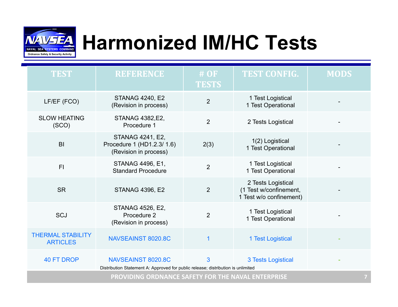

### **Harmonized IM/HC Tests**

| <b>TEST</b>                                        | <b>REFERENCE</b>                                                                                       | $#$ OF<br><b>TESTS</b> | <b>TEST CONFIG.</b>                                                     | <b>MODS</b> |
|----------------------------------------------------|--------------------------------------------------------------------------------------------------------|------------------------|-------------------------------------------------------------------------|-------------|
| LF/EF (FCO)                                        | <b>STANAG 4240, E2</b><br>(Revision in process)                                                        | $\overline{2}$         | 1 Test Logistical<br>1 Test Operational                                 |             |
| <b>SLOW HEATING</b><br>(SCO)                       | STANAG 4382, E2,<br>Procedure 1                                                                        | $\overline{2}$         | 2 Tests Logistical                                                      |             |
| B <sub>l</sub>                                     | <b>STANAG 4241, E2,</b><br>Procedure 1 (HD1.2.3/ 1.6)<br>(Revision in process)                         | 2(3)                   | 1(2) Logistical<br>1 Test Operational                                   |             |
| F <sub>1</sub>                                     | STANAG 4496, E1,<br><b>Standard Procedure</b>                                                          | $\overline{2}$         | 1 Test Logistical<br>1 Test Operational                                 |             |
| <b>SR</b>                                          | <b>STANAG 4396, E2</b>                                                                                 | $\overline{2}$         | 2 Tests Logistical<br>(1 Test w/confinement,<br>1 Test w/o confinement) |             |
| <b>SCJ</b>                                         | STANAG 4526, E2,<br>Procedure 2<br>(Revision in process)                                               | $\overline{2}$         | 1 Test Logistical<br>1 Test Operational                                 |             |
| <b>THERMAL STABILITY</b><br><b>ARTICLES</b>        | NAVSEAINST 8020.8C                                                                                     | 1                      | 1 Test Logistical                                                       |             |
| <b>40 FT DROP</b>                                  | NAVSEAINST 8020.8C<br>Distribution Statement A: Approved for public release; distribution is unlimited | 3                      | <b>3 Tests Logistical</b>                                               |             |
| PROVIDING ORDNANCE SAFETY FOR THE NAVAL ENTERPRISE |                                                                                                        |                        |                                                                         |             |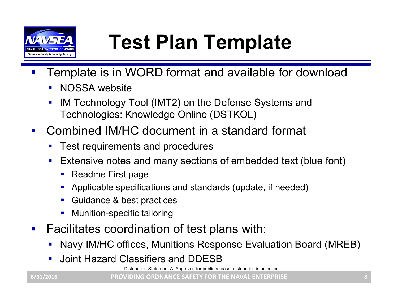

## **Test Plan Template**

- $\mathcal{L}_{\mathcal{A}}$  Template is in WORD format and available for download
	- $\mathcal{L}_{\mathcal{A}}$ NOSSA website
	- $\mathcal{L}_{\mathcal{A}}$  IM Technology Tool (IMT2) on the Defense Systems and Technologies: Knowledge Online (DSTKOL)
- $\mathcal{L}^{\text{max}}$  Combined IM/HC document in a standard format
	- Test requirements and procedures
	- **Service Service**  Extensive notes and many sections of embedded text (blue font)
		- $\blacksquare$ Readme First page
		- $\mathcal{L}_{\mathcal{A}}$ Applicable specifications and standards (update, if needed)
		- П Guidance & best practices
		- L. Munition-specific tailoring
- $\mathcal{L}_{\mathcal{A}}$  Facilitates coordination of test plans with:
	- Navy IM/HC offices, Munitions Response Evaluation Board (MREB)
	- **Joint Hazard Classifiers and DDESB**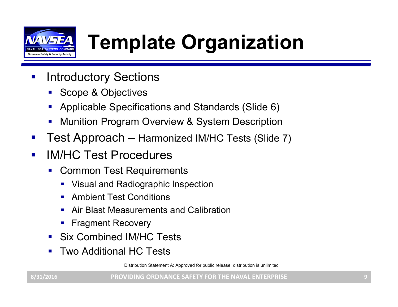

## **Template Organization**

- $\mathcal{L}_{\mathcal{A}}$  Introductory Sections
	- Scope & Objectives
	- Applicable Specifications and Standards (Slide 6)
	- **Service Service** Munition Program Overview & System Description
- $\mathbb{R}^3$ Test Approach – Harmonized IM/HC Tests (Slide 7)
- $\mathcal{L}_{\mathcal{A}}$  IM/HC Test Procedures
	- Common Test Requirements
		- Visual and Radiographic Inspection
		- $\mathbf{r}$ Ambient Test Conditions
		- П Air Blast Measurements and Calibration
		- $\blacksquare$ Fragment Recovery
	- Six Combined IM/HC Tests
	- Two Additional HC Tests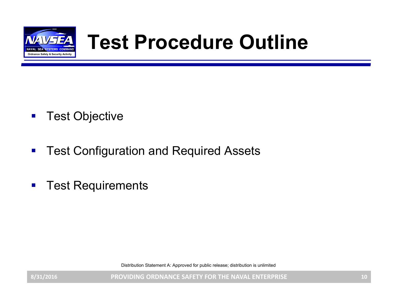

### **Test Procedure Outline**

- $\mathcal{L}_{\mathcal{A}}$ Test Objective
- $\blacksquare$ Test Configuration and Required Assets
- $\mathcal{L}_{\mathcal{A}}$ Test Requirements

Distribution Statement A: Approved for public release; distribution is unlimited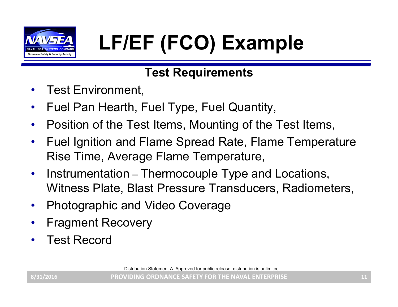

## **VANSEA** LF/EF (FCO) Example and ple

#### **Test Requirements**

- •Test Environment,
- •Fuel Pan Hearth, Fuel Type, Fuel Quantity,
- •Position of the Test Items, Mounting of the Test Items,
- $\bullet$  Fuel Ignition and Flame Spread Rate, Flame Temperature Rise Time, Average Flame Temperature,
- •• Instrumentation – Thermocouple Type and Locations, Witness Plate, Blast Pressure Transducers, Radiometers,
- •Photographic and Video Coverage
- •Fragment Recovery
- •Test Record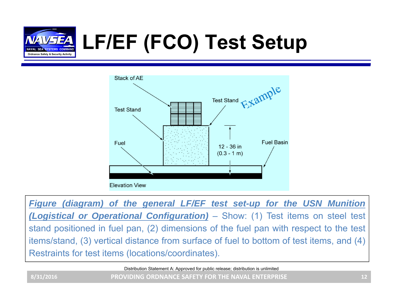

## **LF/EF (FCO) Test Setup**



**Figure (diagram) of the general LF/EF test set-up for the USN Munition** *(Logistical or Operational Configuration)* – Show: (1) Test items on steel test stand positioned in fuel pan, (2) dimensions of the fuel pan with respect to the test items/stand, (3) vertical distance from surface of fuel to bottom of test items, and (4) Restraints for test items (locations/coordinates).

**PROVIDING ORDNANCE SAFETY FOR THE NAVAL ENTERPRISE 8/31/2016 12** Distribution Statement A: Approved for public release; distribution is unlimited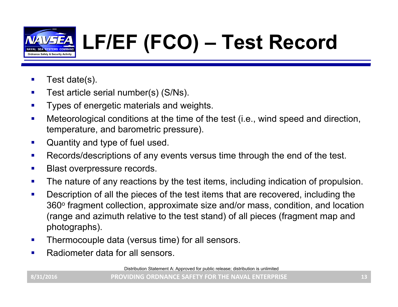

## **LF/EF (FCO) – Test Record**

- П Test date(s).
- $\mathcal{L}_{\mathcal{A}}$ Test article serial number(s) (S/Ns).
- П Types of energetic materials and weights.
- П Meteorological conditions at the time of the test (i.e., wind speed and direction, temperature, and barometric pressure).
- $\mathcal{L}_{\mathcal{A}}$ Quantity and type of fuel used.
- $\mathcal{L}_{\mathcal{A}}$ Records/descriptions of any events versus time through the end of the test.
- $\mathbf{r}$ Blast overpressure records.
- $\mathcal{L}_{\mathcal{A}}$ The nature of any reactions by the test items, including indication of propulsion.
- П Description of all the pieces of the test items that are recovered, including the 360° fragment collection, approximate size and/or mass, condition, and location (range and azimuth relative to the test stand) of all pieces (fragment map and photographs).
- $\mathbf{r}$ Thermocouple data (versus time) for all sensors.
- $\mathcal{L}_{\mathcal{A}}$ Radiometer data for all sensors.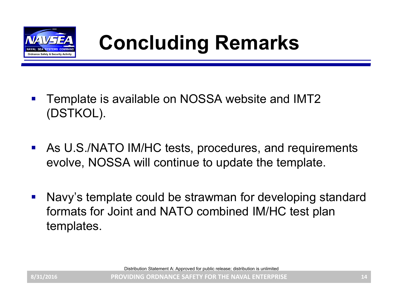

- $\mathbb{R}^2$  Template is available on NOSSA website and IMT2 (DSTKOL).
- $\mathcal{L}_{\mathcal{A}}$  As U.S./NATO IM/HC tests, procedures, and requirements evolve, NOSSA will continue to update the template.
- $\mathcal{L}^{\mathcal{A}}$  Navy's template could be strawman for developing standard formats for Joint and NATO combined IM/HC test plan templates.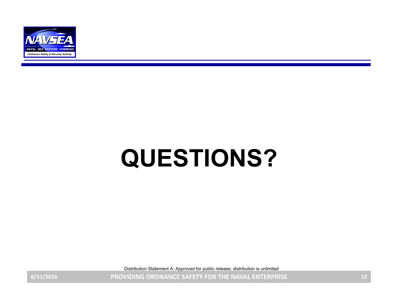

# **QUESTIONS?**

Distribution Statement A: Approved for public release; distribution is unlimited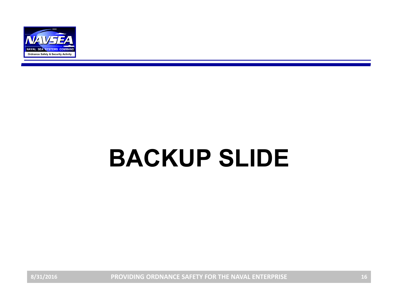

# **BACKUP SLIDE**